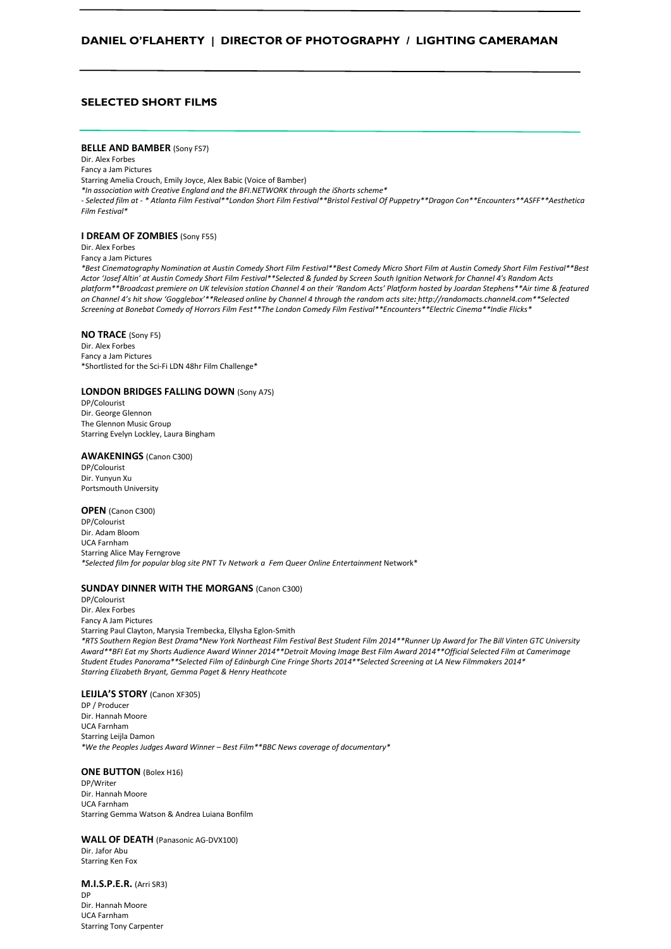## **DANIEL O'FLAHERTY | DIRECTOR OF PHOTOGRAPHY / LIGHTING CAMERAMAN**

## **SELECTED SHORT FILMS**

#### **BELLE AND BAMBER (Sony FS7)**

Dir. Alex Forbes Fancy a Jam Pictures Starring Amelia Crouch, Emily Joyce, Alex Babic (Voice of Bamber) *\*In association with Creative England and the BFI.NETWORK through the iShorts scheme\* - Selected film at - \* Atlanta Film Festival\*\*London Short Film Festival\*\*Bristol Festival Of Puppetry\*\*Dragon Con\*\*Encounters\*\*ASFF\*\*Aesthetica Film Festival\**

#### **I DREAM OF ZOMBIES** (Sony F55)

Dir. Alex Forbes

Fancy a Jam Pictures

*\*Best Cinematography Nomination at Austin Comedy Short Film Festival\*\*Best Comedy Micro Short Film at Austin Comedy Short Film Festival\*\*Best Actor 'Josef Altin' at Austin Comedy Short Film Festival\*\*Selected & funded by Screen South Ignition Network for Channel 4's Random Acts platform\*\*Broadcast premiere on UK television station Channel 4 on their 'Random Acts' Platform hosted by Joardan Stephens\*\*Air time & featured on Channel 4's hit show 'Gogglebox'\*\*Released online by Channel 4 through the random acts site: [http://randomacts.channel4.com\\*](http://randomacts.channel4.com/)\*Selected Screening at Bonebat Comedy of Horrors Film Fest\*\*The London Comedy Film Festival\*\*Encounters\*\*Electric Cinema\*\*Indie Flicks\**

#### **NO TRACE** (Sony F5)

Dir. Alex Forbes Fancy a Jam Pictures \*Shortlisted for the Sci-Fi LDN 48hr Film Challenge\*

#### **LONDON BRIDGES FALLING DOWN** (Sony A7S)

DP/Colourist Dir. George Glennon The Glennon Music Group Starring Evelyn Lockley, Laura Bingham

#### **AWAKENINGS** (Canon C300)

DP/Colourist Dir. Yunyun Xu Portsmouth University

## **OPEN** (Canon C300)

DP/Colourist Dir. Adam Bloom UCA Farnham Starring Alice May Ferngrove *\*Selected film for popular blog site PNT Tv Network a Fem Queer Online Entertainment* Network\*

#### **SUNDAY DINNER WITH THE MORGANS** (Canon C300)

DP/Colourist Dir. Alex Forbes Fancy A Jam Pictures Starring Paul Clayton, Marysia Trembecka, Ellysha Eglon-Smith *\*RTS Southern Region Best Drama\*New York Northeast Film Festival Best Student Film 2014\*\*Runner Up Award for The Bill Vinten GTC University Award\*\*BFI Eat my Shorts Audience Award Winner 2014\*\*Detroit Moving Image Best Film Award 2014\*\*Official Selected Film at Camerimage Student Etudes Panorama\*\*Selected Film of Edinburgh Cine Fringe Shorts 2014\*\*Selected Screening at LA New Filmmakers 2014\* Starring Elizabeth Bryant, Gemma Paget & Henry Heathcote*

#### **LEIJLA'S STORY** (Canon XF305)

DP / Producer Dir. Hannah Moore UCA Farnham Starring Leijla Damon *\*We the Peoples Judges Award Winner – Best Film\*\*BBC News coverage of documentary\**

#### **ONE BUTTON** (Bolex H16)

DP/Writer Dir. Hannah Moore UCA Farnham Starring Gemma Watson & Andrea Luiana Bonfilm

## **WALL OF DEATH** (Panasonic AG-DVX100)

Dir. Jafor Abu Starring Ken Fox

**M.I.S.P.E.R.** (Arri SR3) DP Dir. Hannah Moore UCA Farnham Starring Tony Carpenter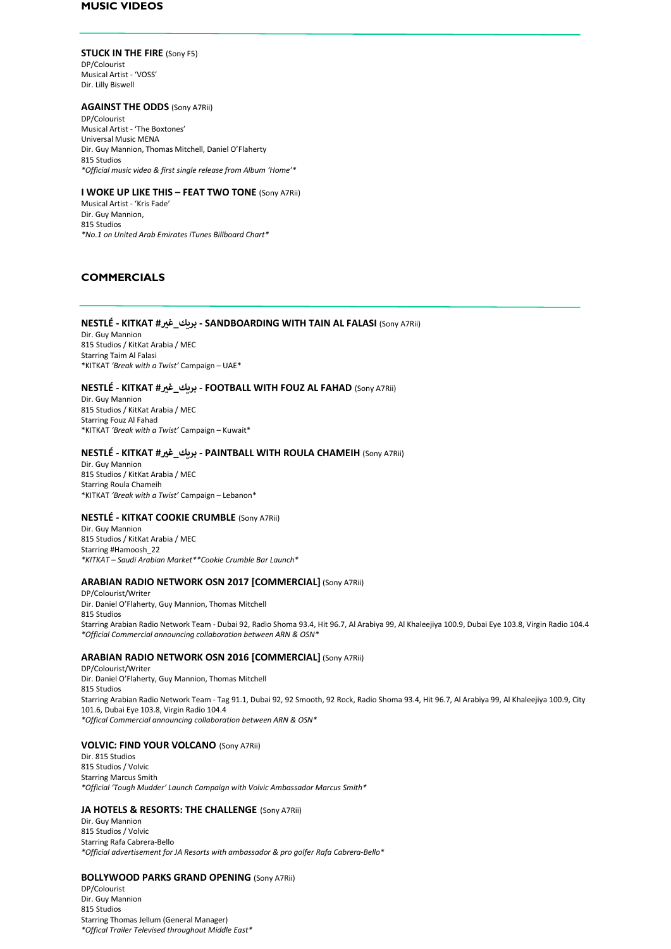## **MUSIC VIDEOS**

#### **STUCK IN THE FIRE** (Sony F5)

DP/Colourist Musical Artist - 'VOSS' Dir. Lilly Biswell

### **AGAINST THE ODDS** (Sony A7Rii)

DP/Colourist Musical Artist - 'The Boxtones' Universal Music MENA Dir. Guy Mannion, Thomas Mitchell, Daniel O'Flaherty 815 Studios *\*Official music video & first single release from Album 'Home'\**

## **I WOKE UP LIKE THIS – FEAT TWO TONE** (Sony A7Rii)

Musical Artist - 'Kris Fade' Dir. Guy Mannion, 815 Studios *\*No.1 on United Arab Emirates iTunes Billboard Chart\**

## **COMMERCIALS**

#### **NESTLÉ - KITKAT #ي غ\_بريك - SANDBOARDING WITH TAIN AL FALASI** (Sony A7Rii)

Dir. Guy Mannion 815 Studios / KitKat Arabia / MEC Starring Taim Al Falasi \*KITKAT *'Break with a Twist'* Campaign – UAE\*

### **NESTLÉ - KITKAT #ي غ\_بريك - FOOTBALL WITH FOUZ AL FAHAD** (Sony A7Rii)

Dir. Guy Mannion 815 Studios / KitKat Arabia / MEC Starring Fouz Al Fahad \*KITKAT *'Break with a Twist'* Campaign – Kuwait\*

#### **NESTLÉ - KITKAT #ي غ\_بريك - PAINTBALL WITH ROULA CHAMEIH** (Sony A7Rii)

Dir. Guy Mannion 815 Studios / KitKat Arabia / MEC Starring Roula Chameih \*KITKAT *'Break with a Twist'* Campaign – Lebanon\*

#### **NESTLÉ - KITKAT COOKIE CRUMBLE** (Sony A7Rii)

Dir. Guy Mannion 815 Studios / KitKat Arabia / MEC Starring #Hamoosh\_22 *\*KITKAT – Saudi Arabian Market\*\*Cookie Crumble Bar Launch\**

## **ARABIAN RADIO NETWORK OSN 2017 [COMMERCIAL]** (Sony A7Rii)

DP/Colourist/Writer Dir. Daniel O'Flaherty, Guy Mannion, Thomas Mitchell 815 Studios Starring Arabian Radio Network Team - Dubai 92, Radio Shoma 93.4, Hit 96.7, Al Arabiya 99, Al Khaleejiya 100.9, Dubai Eye 103.8, Virgin Radio 104.4 *\*Official Commercial announcing collaboration between ARN & OSN\**

## **ARABIAN RADIO NETWORK OSN 2016 [COMMERCIAL]** (Sony A7Rii)

DP/Colourist/Writer Dir. Daniel O'Flaherty, Guy Mannion, Thomas Mitchell 815 Studios Starring Arabian Radio Network Team - Tag 91.1, Dubai 92, 92 Smooth, 92 Rock, Radio Shoma 93.4, Hit 96.7, Al Arabiya 99, Al Khaleejiya 100.9, City 101.6, Dubai Eye 103.8, Virgin Radio 104.4 *\*Offical Commercial announcing collaboration between ARN & OSN\**

## **VOLVIC: FIND YOUR VOLCANO** (Sony A7Rii)

Dir. 815 Studios 815 Studios / Volvic Starring Marcus Smith *\*Official 'Tough Mudder' Launch Campaign with Volvic Ambassador Marcus Smith\**

## **JA HOTELS & RESORTS: THE CHALLENGE (Sony A7Rii)**

Dir. Guy Mannion 815 Studios / Volvic Starring Rafa Cabrera-Bello *\*Official advertisement for JA Resorts with ambassador & pro golfer Rafa Cabrera-Bello\**

#### **BOLLYWOOD PARKS GRAND OPENING** (Sony A7Rii)

DP/Colourist Dir. Guy Mannion 815 Studios Starring Thomas Jellum (General Manager) *\*Offical Trailer Televised throughout Middle East\**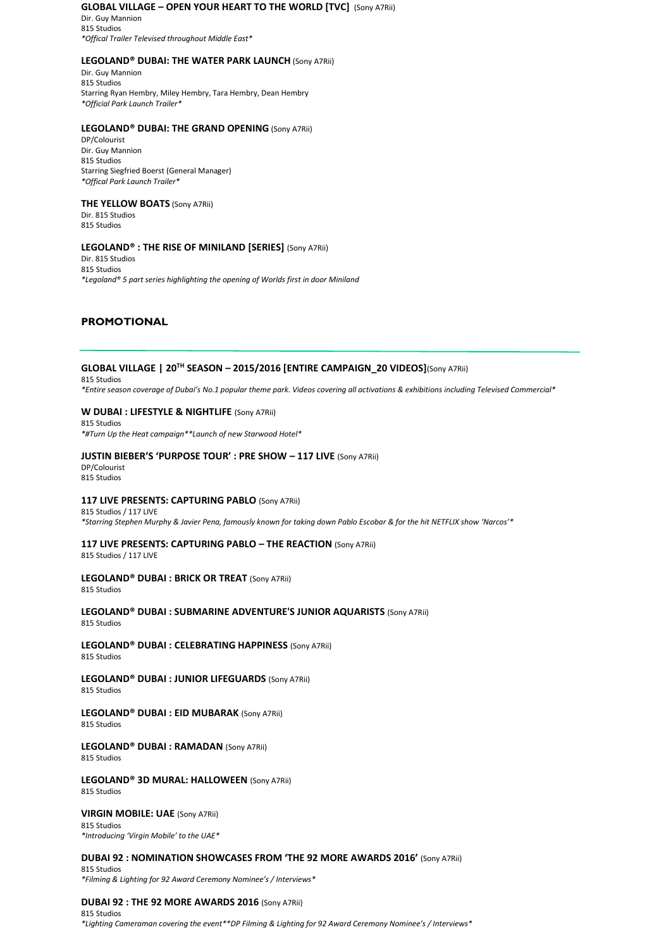#### **GLOBAL VILLAGE – OPEN YOUR HEART TO THE WORLD [TVC]** (Sony A7Rii) Dir. Guy Mannion

815 Studios *\*Offical Trailer Televised throughout Middle East\**

## **LEGOLAND® DUBAI: THE WATER PARK LAUNCH** (Sony A7Rii)

Dir. Guy Mannion 815 Studios Starring Ryan Hembry, Miley Hembry, Tara Hembry, Dean Hembry *\*Official Park Launch Trailer\**

## **LEGOLAND® DUBAI: THE GRAND OPENING** (Sony A7Rii)

DP/Colourist Dir. Guy Mannion 815 Studios Starring Siegfried Boerst (General Manager) *\*Offical Park Launch Trailer\**

## **THE YELLOW BOATS** (Sony A7Rii)

Dir. 815 Studios 815 Studios

## **LEGOLAND® : THE RISE OF MINILAND [SERIES]** (Sony A7Rii)

Dir. 815 Studios 815 Studios *\*Legoland® 5 part series highlighting the opening of Worlds first in door Miniland*

## **PROMOTIONAL**

## **GLOBAL VILLAGE | 20TH SEASON – 2015/2016 [ENTIRE CAMPAIGN\_20 VIDEOS]**(Sony A7Rii)

815 Studios

*\*Entire season coverage of Dubai's No.1 popular theme park. Videos covering all activations & exhibitions including Televised Commercial\**

## **W DUBAI : LIFESTYLE & NIGHTLIFE** (Sony A7Rii)

815 Studios *\*#Turn Up the Heat campaign\*\*Launch of new Starwood Hotel\**

## **JUSTIN BIEBER'S 'PURPOSE TOUR' : PRE SHOW – 117 LIVE** (Sony A7Rii)

DP/Colourist 815 Studios

## **117 LIVE PRESENTS: CAPTURING PABLO** (Sony A7Rii)

815 Studios / 117 LIVE *\*Starring Stephen Murphy & Javier Pena, famously known for taking down Pablo Escobar & for the hit NETFLIX show 'Narcos'\**

## **117 LIVE PRESENTS: CAPTURING PABLO – THE REACTION** (Sony A7Rii)

815 Studios / 117 LIVE

## **LEGOLAND® DUBAI : BRICK OR TREAT** (Sony A7Rii)

815 Studios

### **LEGOLAND® DUBAI : SUBMARINE ADVENTURE'S JUNIOR AQUARISTS** (Sony A7Rii)

815 Studios

# **LEGOLAND® DUBAI : CELEBRATING HAPPINESS** (Sony A7Rii)

815 Studios

#### **LEGOLAND® DUBAI : JUNIOR LIFEGUARDS** (Sony A7Rii) 815 Studios

## **LEGOLAND® DUBAI : EID MUBARAK** (Sony A7Rii)

815 Studios

# **LEGOLAND® DUBAI : RAMADAN** (Sony A7Rii)

815 Studios

#### **LEGOLAND® 3D MURAL: HALLOWEEN** (Sony A7Rii) 815 Studios

### **VIRGIN MOBILE: UAE** (Sony A7Rii)

815 Studios *\*Introducing 'Virgin Mobile' to the UAE\**

## **DUBAI 92 : NOMINATION SHOWCASES FROM 'THE 92 MORE AWARDS 2016'** (Sony A7Rii)

815 Studios *\*Filming & Lighting for 92 Award Ceremony Nominee's / Interviews\**

## **DUBAI 92 : THE 92 MORE AWARDS 2016** (Sony A7Rii)

815 Studios *\*Lighting Cameraman covering the event\*\*DP Filming & Lighting for 92 Award Ceremony Nominee's / Interviews\**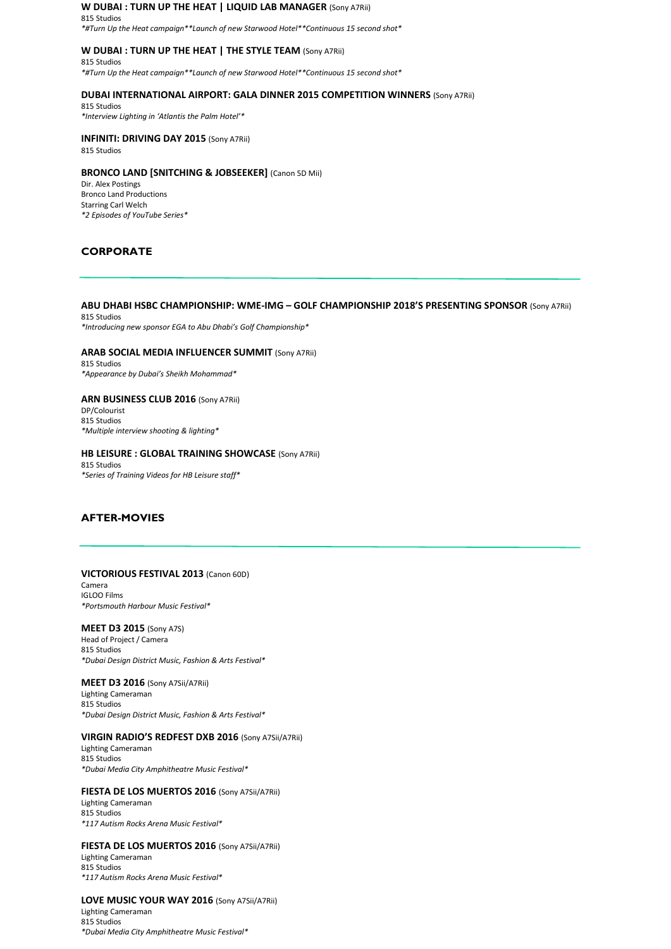#### **W DUBAI : TURN UP THE HEAT | LIQUID LAB MANAGER** (Sony A7Rii) 815 Studios

*\*#Turn Up the Heat campaign\*\*Launch of new Starwood Hotel\*\*Continuous 15 second shot\**

## **W DUBAI : TURN UP THE HEAT | THE STYLE TEAM** (Sony A7Rii)

815 Studios *\*#Turn Up the Heat campaign\*\*Launch of new Starwood Hotel\*\*Continuous 15 second shot\**

#### **DUBAI INTERNATIONAL AIRPORT: GALA DINNER 2015 COMPETITION WINNERS** (Sony A7Rii)

815 Studios *\*Interview Lighting in 'Atlantis the Palm Hotel'\**

## **INFINITI: DRIVING DAY 2015** (Sony A7Rii)

815 Studios

#### **BRONCO LAND [SNITCHING & JOBSEEKER]** (Canon 5D Mii)

Dir. Alex Postings Bronco Land Productions Starring Carl Welch *\*2 Episodes of YouTube Series\**

## **CORPORATE**

### **ABU DHABI HSBC CHAMPIONSHIP: WME-IMG – GOLF CHAMPIONSHIP 2018'S PRESENTING SPONSOR** (Sony A7Rii)

815 Studios *\*Introducing new sponsor EGA to Abu Dhabi's Golf Championship\**

#### **ARAB SOCIAL MEDIA INFLUENCER SUMMIT** (Sony A7Rii)

815 Studios *\*Appearance by Dubai's Sheikh Mohammad\**

## **ARN BUSINESS CLUB 2016** (Sony A7Rii) DP/Colourist

815 Studios *\*Multiple interview shooting & lighting\**

## **HB LEISURE : GLOBAL TRAINING SHOWCASE** (Sony A7Rii) 815 Studios

*\*Series of Training Videos for HB Leisure staff\**

## **AFTER-MOVIES**

#### **VICTORIOUS FESTIVAL 2013** (Canon 60D)

Camera IGLOO Films *\*Portsmouth Harbour Music Festival\**

## **MEET D3 2015** (Sony A7S)

Head of Project / Camera 815 Studios *\*Dubai Design District Music, Fashion & Arts Festival\**

## **MEET D3 2016** (Sony A7Sii/A7Rii) Lighting Cameraman 815 Studios

*\*Dubai Design District Music, Fashion & Arts Festival\**

## **VIRGIN RADIO'S REDFEST DXB 2016** (Sony A7Sii/A7Rii)

Lighting Cameraman 815 Studios *\*Dubai Media City Amphitheatre Music Festival\**

#### **FIESTA DE LOS MUERTOS 2016** (Sony A7Sii/A7Rii)

Lighting Cameraman 815 Studios *\*117 Autism Rocks Arena Music Festival\**

## **FIESTA DE LOS MUERTOS 2016** (Sony A7Sii/A7Rii)

Lighting Cameraman 815 Studios *\*117 Autism Rocks Arena Music Festival\**

#### **LOVE MUSIC YOUR WAY 2016** (Sony A7Sii/A7Rii)

Lighting Cameraman 815 Studios *\*Dubai Media City Amphitheatre Music Festival\**